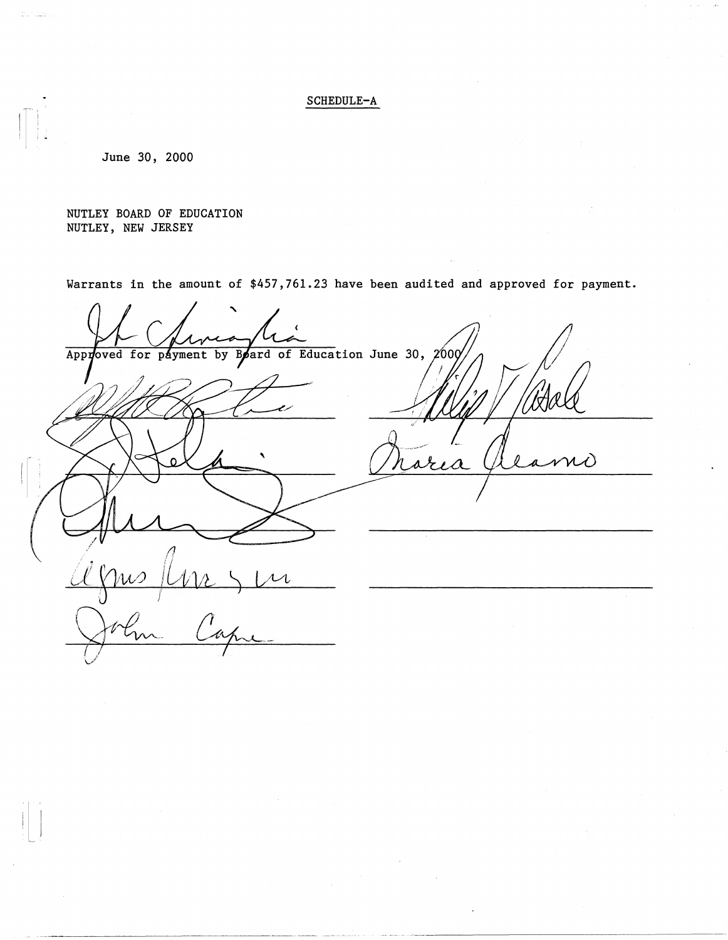## SCHEDULE-A

June 30, 2000

NUTLEY BOARD OF EDUCATION NUTLEY, NEW JERSEY

Warrants in the amount of \$457,761.23 have been audited and approved for payment.

' Board of Education June 30, 2000 Approved for payment by NÒ <u>Agnis Ancyn</u> /}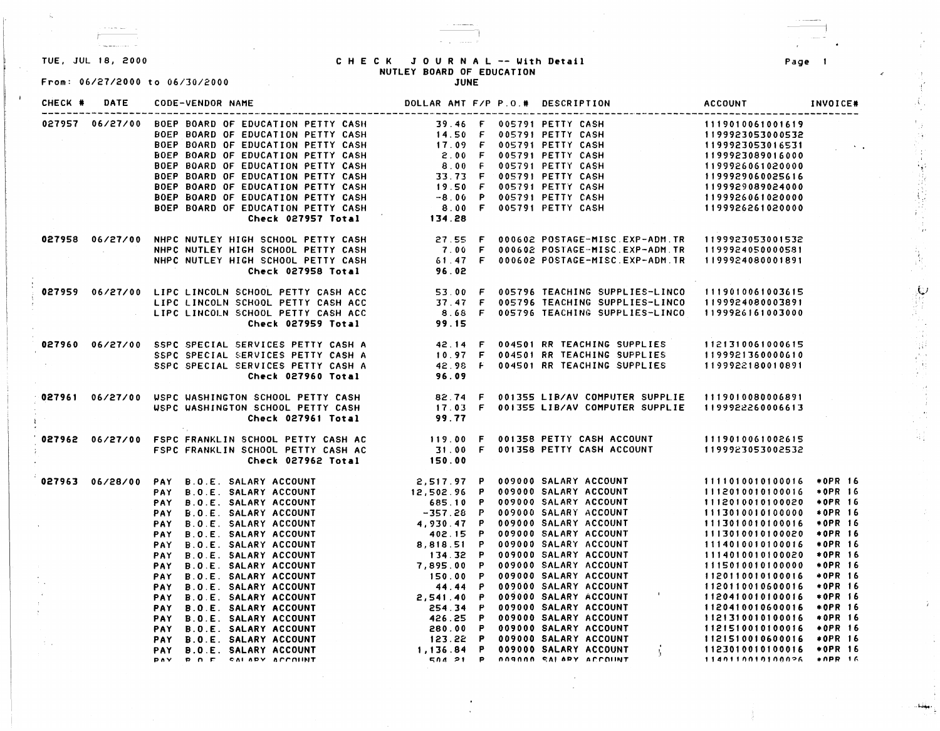$\sim$ 

 $\zeta$ 

From: 06/27/2000 to 06/30/2000

## TUE, JUL 18, 2000 CHECK JOURNAL -- With **Detail**  NUTLEY **BOARD** OF EDUCATION

JUNE

-I

| CHECK *                                    | DATE | <b>CODE-VENDOR NAME</b>                                                                                                                                                                                                                                              | DOLLAR AMT F/P P.O.# DESCRIPTION |  | <b>ACCOUNT</b>             | INVOICE#   |
|--------------------------------------------|------|----------------------------------------------------------------------------------------------------------------------------------------------------------------------------------------------------------------------------------------------------------------------|----------------------------------|--|----------------------------|------------|
|                                            |      |                                                                                                                                                                                                                                                                      |                                  |  |                            |            |
|                                            |      |                                                                                                                                                                                                                                                                      |                                  |  |                            |            |
|                                            |      |                                                                                                                                                                                                                                                                      |                                  |  |                            |            |
|                                            |      |                                                                                                                                                                                                                                                                      |                                  |  |                            |            |
|                                            |      |                                                                                                                                                                                                                                                                      |                                  |  |                            |            |
|                                            |      |                                                                                                                                                                                                                                                                      |                                  |  |                            |            |
|                                            |      |                                                                                                                                                                                                                                                                      |                                  |  |                            |            |
|                                            |      |                                                                                                                                                                                                                                                                      |                                  |  |                            |            |
|                                            |      |                                                                                                                                                                                                                                                                      |                                  |  |                            |            |
|                                            |      | 027957 06/27/00 DOEP BOARD OF EDUCATION PETTY CASH<br>BOEP BOARD OF EDUCATION PETTY CASH<br>BOEP BOARD OF EDUCATION PETTY CASH<br>BOEP BOARD OF EDUCATION PETTY CASH<br>BOEP BOARD OF EDUCATION PETTY CASH<br>BOEP BOARD OF EDUCATION PE                             |                                  |  |                            |            |
|                                            |      |                                                                                                                                                                                                                                                                      |                                  |  |                            |            |
|                                            |      |                                                                                                                                                                                                                                                                      |                                  |  |                            |            |
|                                            |      |                                                                                                                                                                                                                                                                      |                                  |  |                            |            |
|                                            |      | 06/27/00 NHPC NUTLEY HIGH SCHOOL PETTY CASH 27.55 F 000602 POSTAGE-MISC.EXP-ADM.TR 1199923053001532<br>NHPC NUTLEY HIGH SCHOOL PETTY CASH 21.00 F 000602 POSTAGE-MISC.EXP-ADM.TR 1199924050000581<br>Check 027958 Total 96.02                                        |                                  |  |                            |            |
|                                            |      | 06/27/00 LIPC LINCOLN SCHOOL PETTY CASH ACC 53.00 F 005796 TEACHING SUPPLIES-LINCO 1119010061003615<br>LIPC LINCOLN SCHOOL PETTY CASH ACC 37.47 F 005796 TEACHING SUPPLIES-LINCO 1199924080003891<br>LIPC LINCOLN SCHOOL PETTY CASH                                  |                                  |  |                            |            |
|                                            |      |                                                                                                                                                                                                                                                                      |                                  |  |                            |            |
|                                            |      |                                                                                                                                                                                                                                                                      |                                  |  |                            |            |
|                                            |      |                                                                                                                                                                                                                                                                      |                                  |  |                            |            |
|                                            |      |                                                                                                                                                                                                                                                                      |                                  |  |                            |            |
|                                            |      |                                                                                                                                                                                                                                                                      |                                  |  |                            |            |
|                                            |      |                                                                                                                                                                                                                                                                      |                                  |  |                            |            |
|                                            |      | 027960 06/27/00 SSPC SPECIAL SERVICES PETTY CASH A 42.14 F 004501 RR TEACHING SUPPLIES 1121310061000615<br>SSPC SPECIAL SERVICES PETTY CASH A 10.97 F 004501 RR TEACHING SUPPLIES 1199921360000610<br>SSPC SPECIAL SERVICES PETTY CA                                 |                                  |  |                            |            |
|                                            |      | 027961 06/27/00 WSPC WASHINGTON SCHOOL PETTY CASH B2.74 F 001355 LIB/AV COMPUTER SUPPLIE 1119010080006891<br>WSPC WASHINGTON SCHOOL PETTY CASH 17.03 F 001355 LIB/AV COMPUTER SUPPLIE 1199922260006613<br>Check 027961 Total 99.77                                   |                                  |  |                            |            |
|                                            |      |                                                                                                                                                                                                                                                                      |                                  |  |                            |            |
|                                            |      |                                                                                                                                                                                                                                                                      |                                  |  |                            |            |
|                                            |      |                                                                                                                                                                                                                                                                      |                                  |  |                            |            |
|                                            |      |                                                                                                                                                                                                                                                                      |                                  |  |                            |            |
|                                            |      |                                                                                                                                                                                                                                                                      |                                  |  |                            |            |
|                                            |      | <b>PAY B.O.E. SALARY ACCOUNT<br/> PAY B.O.E. SALARY ACCOUNT<br/> PAY B.O.E. SALARY ACCOUNT<br/> PAY B.O.E. SALARY ACCOUNT<br/> PAY B.O.E. SALARY ACCOUNT<br/> PAY B.O.E. SALARY ACCOUNT<br/> PAY B.O.E. SALARY ACCOUNT<br/> PAY B.O.E. SALARY ACCOUNT<br/> PAY B</b> |                                  |  | 1111010010100016 *OPR 16   |            |
|                                            |      |                                                                                                                                                                                                                                                                      |                                  |  | 1112010010100016 * OPR 16  |            |
|                                            |      |                                                                                                                                                                                                                                                                      |                                  |  | 1112010010100020           | $*$ OPR 16 |
|                                            |      |                                                                                                                                                                                                                                                                      |                                  |  | 1113010010100000 * OPR 16  |            |
| $\sim$                                     |      |                                                                                                                                                                                                                                                                      |                                  |  | 1113010010100016 * OPR 16  |            |
|                                            |      |                                                                                                                                                                                                                                                                      |                                  |  | 1113010010100020 *OPR 16   |            |
|                                            |      |                                                                                                                                                                                                                                                                      |                                  |  | 1114010010100016 *OPR 16   |            |
|                                            |      |                                                                                                                                                                                                                                                                      |                                  |  | 1114010010100020           | *0PR 16    |
|                                            |      |                                                                                                                                                                                                                                                                      |                                  |  | 1115010010100000 * OPR 16  |            |
|                                            |      |                                                                                                                                                                                                                                                                      |                                  |  | 1120110010100016           | *0PR 16    |
|                                            |      |                                                                                                                                                                                                                                                                      |                                  |  | 1120110010600016 *OPR 16   |            |
|                                            |      |                                                                                                                                                                                                                                                                      |                                  |  | 1120410010100016 * OPR 16  |            |
| $\mathcal{X}^{\pm}$<br>$\mathcal{V}^{\pm}$ |      |                                                                                                                                                                                                                                                                      |                                  |  | 1120410010600016 * OPR 16  |            |
|                                            |      |                                                                                                                                                                                                                                                                      |                                  |  | 1121310010100016 * OPR 16  |            |
|                                            |      |                                                                                                                                                                                                                                                                      |                                  |  | 1121510010100016 +0PR 16   |            |
|                                            |      |                                                                                                                                                                                                                                                                      |                                  |  | 1121510010600016 *OPR 16   |            |
|                                            |      |                                                                                                                                                                                                                                                                      |                                  |  | 1123010010100016 * OPR 16  |            |
|                                            |      |                                                                                                                                                                                                                                                                      |                                  |  | $1140110010100026$ *OPR 16 |            |

Page

-1

*t ...* 1 *t* ... 1 *t* ... 1 *t* ... 1 *t* ... 1 *t* ... 1 *t* ... 1 *t* ... 1 *t* ... 1 *t* ...

유소

:<br>. . . . . . . . .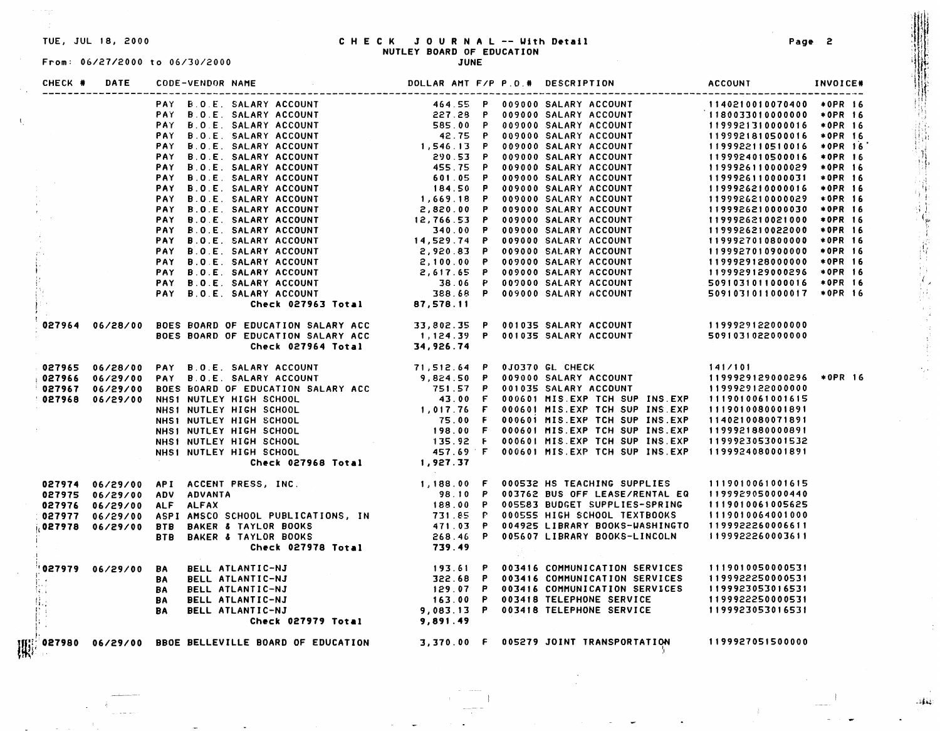$\mathcal{X}_1$ 

# TUE, JUL 18, 2000 C H E C K **JOURNAL** -- ~1th **Detail Page** 2 Jlt' NUTLEY **BOARD** OF EDUCATION

| CHECK # | DATE                | CODE-VENDOR NAME           |                                                                                                                                                                                                                                         |  | DOLLAR AMT F/P P.O.# DESCRIPTION                                                                                                                                                                                                     | <b>ACCOUNT</b>   | INVOICE* |
|---------|---------------------|----------------------------|-----------------------------------------------------------------------------------------------------------------------------------------------------------------------------------------------------------------------------------------|--|--------------------------------------------------------------------------------------------------------------------------------------------------------------------------------------------------------------------------------------|------------------|----------|
|         |                     |                            |                                                                                                                                                                                                                                         |  |                                                                                                                                                                                                                                      |                  |          |
|         |                     |                            |                                                                                                                                                                                                                                         |  |                                                                                                                                                                                                                                      |                  |          |
|         |                     |                            |                                                                                                                                                                                                                                         |  |                                                                                                                                                                                                                                      |                  |          |
|         |                     |                            |                                                                                                                                                                                                                                         |  |                                                                                                                                                                                                                                      |                  |          |
|         |                     |                            |                                                                                                                                                                                                                                         |  |                                                                                                                                                                                                                                      |                  |          |
|         |                     |                            |                                                                                                                                                                                                                                         |  |                                                                                                                                                                                                                                      |                  |          |
|         |                     |                            |                                                                                                                                                                                                                                         |  |                                                                                                                                                                                                                                      |                  |          |
|         |                     |                            |                                                                                                                                                                                                                                         |  |                                                                                                                                                                                                                                      |                  |          |
|         |                     |                            |                                                                                                                                                                                                                                         |  |                                                                                                                                                                                                                                      |                  |          |
|         |                     |                            |                                                                                                                                                                                                                                         |  |                                                                                                                                                                                                                                      |                  |          |
|         |                     |                            |                                                                                                                                                                                                                                         |  |                                                                                                                                                                                                                                      |                  |          |
|         |                     |                            |                                                                                                                                                                                                                                         |  |                                                                                                                                                                                                                                      |                  |          |
|         |                     |                            |                                                                                                                                                                                                                                         |  |                                                                                                                                                                                                                                      |                  |          |
|         |                     |                            |                                                                                                                                                                                                                                         |  |                                                                                                                                                                                                                                      |                  |          |
|         |                     |                            |                                                                                                                                                                                                                                         |  |                                                                                                                                                                                                                                      |                  |          |
|         |                     |                            |                                                                                                                                                                                                                                         |  |                                                                                                                                                                                                                                      |                  |          |
|         |                     |                            |                                                                                                                                                                                                                                         |  |                                                                                                                                                                                                                                      |                  |          |
|         |                     |                            |                                                                                                                                                                                                                                         |  |                                                                                                                                                                                                                                      |                  |          |
|         |                     |                            |                                                                                                                                                                                                                                         |  |                                                                                                                                                                                                                                      |                  |          |
|         |                     |                            |                                                                                                                                                                                                                                         |  |                                                                                                                                                                                                                                      |                  |          |
|         |                     |                            | 027964 06/28/00 BOES BOARD OF EDUCATION SALARY ACC 33,802.35 P 001035 SALARY ACCOUNT<br>BOES BOARD OF EDUCATION SALARY ACC 1,124.39 P 001035 SALARY ACCOUNT 5091031022000000<br>Check 027964 Total 34,926.74                            |  |                                                                                                                                                                                                                                      |                  |          |
|         |                     |                            |                                                                                                                                                                                                                                         |  |                                                                                                                                                                                                                                      |                  |          |
|         |                     |                            |                                                                                                                                                                                                                                         |  |                                                                                                                                                                                                                                      |                  |          |
|         |                     |                            |                                                                                                                                                                                                                                         |  |                                                                                                                                                                                                                                      |                  |          |
|         |                     |                            |                                                                                                                                                                                                                                         |  |                                                                                                                                                                                                                                      |                  |          |
|         |                     |                            |                                                                                                                                                                                                                                         |  |                                                                                                                                                                                                                                      |                  |          |
|         |                     |                            |                                                                                                                                                                                                                                         |  |                                                                                                                                                                                                                                      |                  |          |
|         |                     |                            |                                                                                                                                                                                                                                         |  |                                                                                                                                                                                                                                      |                  |          |
|         |                     |                            |                                                                                                                                                                                                                                         |  |                                                                                                                                                                                                                                      |                  |          |
|         |                     |                            |                                                                                                                                                                                                                                         |  |                                                                                                                                                                                                                                      |                  |          |
|         |                     |                            |                                                                                                                                                                                                                                         |  |                                                                                                                                                                                                                                      |                  |          |
|         |                     |                            |                                                                                                                                                                                                                                         |  |                                                                                                                                                                                                                                      |                  |          |
|         |                     |                            | 927965 06/29/00 PAY B.O.E. SALARY ACCOUNT<br>9,824.50 P 009300 SALARY ACCOUNT (1199329129000296 +0PR 16<br>9,824.50 P 009300 SALARY ACCOUNT (1199329129000296 +0PR 16<br>9,824.50 P 009300 SALARY ACCOUNT (1199329129000296 +0PR 16<br> |  |                                                                                                                                                                                                                                      |                  |          |
|         |                     |                            |                                                                                                                                                                                                                                         |  |                                                                                                                                                                                                                                      |                  |          |
|         |                     |                            |                                                                                                                                                                                                                                         |  |                                                                                                                                                                                                                                      |                  |          |
|         |                     |                            |                                                                                                                                                                                                                                         |  |                                                                                                                                                                                                                                      |                  |          |
|         |                     |                            |                                                                                                                                                                                                                                         |  |                                                                                                                                                                                                                                      |                  |          |
|         |                     |                            |                                                                                                                                                                                                                                         |  |                                                                                                                                                                                                                                      |                  |          |
|         |                     |                            |                                                                                                                                                                                                                                         |  |                                                                                                                                                                                                                                      |                  |          |
|         |                     |                            | 06/29/00 API ACCENT PRESS, INC. [1,188.00 F 000532 HS TEACHING SUPPLIES 1119010061001615<br>06/29/00 ADV ADVANTA 188.00 P 003762 BUS OFF LEASE/RENTAL EQ 1199929050000440<br>06/29/00 ALF ALFAX 188.00 P 005583 BUDGET SUPPLIES-SP      |  |                                                                                                                                                                                                                                      |                  |          |
|         | '027979 06/29/00 BA |                            | BELL ATLANTIC-NJ                                                                                                                                                                                                                        |  | 193.61 P 003416 COMMUNICATION SERVICES 1119010050000531<br>193.61 P 003416 COMMUNICATION SERVICES 1199922250000531<br>199922250000531 129.07 P 003416 COMMUNICATION SERVICES 1199922250000531<br>163.00 P 003418 TELEPHONE SERVICE 1 |                  |          |
|         |                     | <b>BA</b>                  | BELL ATLANTIC-NJ                                                                                                                                                                                                                        |  |                                                                                                                                                                                                                                      |                  |          |
|         |                     | <b>BA BELL ATLANTIC-NJ</b> |                                                                                                                                                                                                                                         |  |                                                                                                                                                                                                                                      |                  |          |
|         |                     | <b>BA BELL ATLANTIC-NJ</b> |                                                                                                                                                                                                                                         |  |                                                                                                                                                                                                                                      |                  |          |
|         |                     | <b>BA BELL ATLANTIC-NJ</b> |                                                                                                                                                                                                                                         |  |                                                                                                                                                                                                                                      |                  |          |
|         |                     |                            |                                                                                                                                                                                                                                         |  |                                                                                                                                                                                                                                      |                  |          |
|         |                     |                            | $\mathbb{R}^3_2$ 027980 $\,$ 06/29/00 <code>BBOE</code> BELLEVILLE BOARD OF EDUCATION $\,$ 3,370.00 <code>F</code> 005279 JOINT TRANSPORTATION                                                                                          |  |                                                                                                                                                                                                                                      | 1199927051500000 |          |

 $.$ 

! I I

. oji-4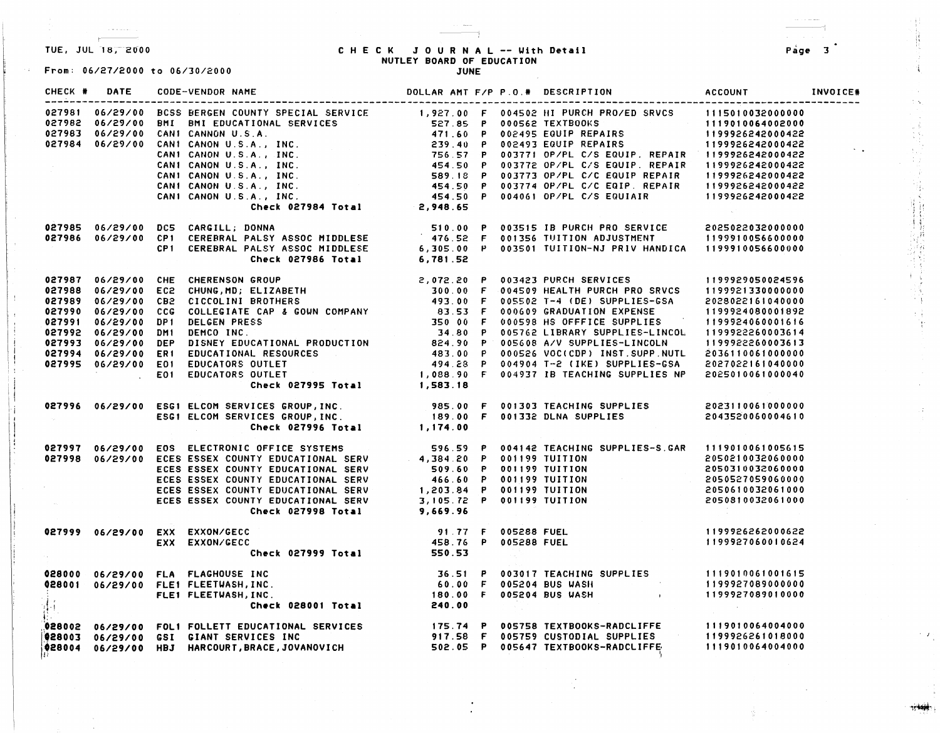$+$ 

 $\sim 10^7$ 

From: 06/27/2000 to 06/30/2000

## TUE, JUL 18,-2000 C H E C K JOURNAL -- Uith **Detail** Page 3 NUTLEY **BOARD** OF EDUCATION

|  |  |                                                                                                                                                                                                                                                                                                                                                                                        |  |  | INVOICE# |
|--|--|----------------------------------------------------------------------------------------------------------------------------------------------------------------------------------------------------------------------------------------------------------------------------------------------------------------------------------------------------------------------------------------|--|--|----------|
|  |  |                                                                                                                                                                                                                                                                                                                                                                                        |  |  |          |
|  |  | 027985 06/29/00 DC5 CARGILL; DONNA 510.00 P 003515 IB PURCH PRO SERVICE 2025022032000000<br>027986 06/29/00 CP1 CEREBRAL PALSY ASSOC MIDDLESE 476.52 F 001356 TUITION ADJUSTMENT 1199910056600000<br>CP1 CEREBRAL PALSY ASSOC MIDDLE                                                                                                                                                   |  |  |          |
|  |  | 027987 06/29/00 CHE CHERENSON GROUP<br>027988 06/29/00 EC2 CHUNG,MD; ELIZABETH<br>027988 06/29/00 EC2 CHUNG,MD; ELIZABETH<br>027998 06/29/00 CG2 COCLCLENTE CAP & GOUN COMPANY<br>027990 06/29/00 CG2 COLCELINTE CAP & GOUN COMPANY<br>0                                                                                                                                               |  |  |          |
|  |  |                                                                                                                                                                                                                                                                                                                                                                                        |  |  |          |
|  |  | 027997 06/29/00 EOS ELECTRONIC OFFICE SYSTEMS 596.59 P 004142 TEACHING SUPPLIES-S.GAR 1119010061005615<br>027998 06/29/00 ECES ESSEX COUNTY EDUCATIONAL SERV 509.60 P 001199 TUITION 2050210032060000<br>ECES ESSEX COUNTY EDUCATI                                                                                                                                                     |  |  |          |
|  |  | 06/29/00 EXX EXXON/GECC 91.77 F 005288 FUEL<br>EXX EXXON/GECC 458.76 P 005288 FUEL 1199927060010624<br>Check 027999 Total 550.53                                                                                                                                                                                                                                                       |  |  |          |
|  |  |                                                                                                                                                                                                                                                                                                                                                                                        |  |  |          |
|  |  | $\begin{array}{cccccccccccc} \texttt{028002} & 06/29/00 & \texttt{FOL} & \texttt{FOLLET} & \texttt{EDUCAIIONAL} & \texttt{SERVICES} & & & & & & 175.74 & \texttt{P} & 005758 & \texttt{TXTBOOKS-RADCLIFFE} & & & & 1119010064004000 & \\ \texttt{028003} & 06/29/00 & \texttt{GS} & \texttt{GIAN} & \texttt{SFRVICES} & \texttt{INC} & & & & 917.58 & \texttt{F} & 005759 & \texttt{C$ |  |  |          |

**一个时候,我们的时候,我们的时候,我们的时候,我们的时候,我们的时候,我们的时候,我们的时候,我们的时候,我们的时候,我们的时候,我们的时候,我们的时候,我们的时候,我们的时候,我们的时候,我们的时候** 

 $\pm\frac{1}{4}$ ीहर

"'I~',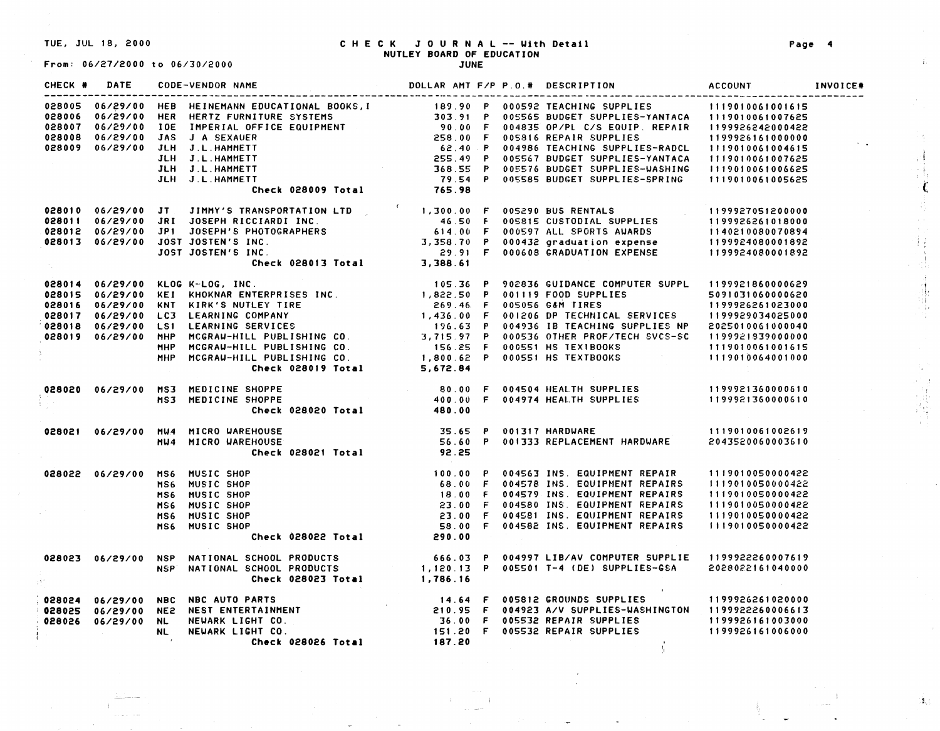#### TUE, JUL 18, 2000 CHECK JOURNAL -- With **Detail**  NUTLEY **BOARD** OF EDUCATION

From: 06/27/2000 to 06/30/2000

| CHECK # |  |                                                                                                                                                                                                                                          |                 |  |                                                                                                                                                                                                                                                                                      |                   |  |
|---------|--|------------------------------------------------------------------------------------------------------------------------------------------------------------------------------------------------------------------------------------------|-----------------|--|--------------------------------------------------------------------------------------------------------------------------------------------------------------------------------------------------------------------------------------------------------------------------------------|-------------------|--|
|         |  | 028005 06/29/00 HER HERTZ FURNING EDUCATIONAL BOOKS, I<br>028005 06/29/00 HER HERTZ FURNITURE SYSTEMS<br>028007 06/29/00 IOE IMPERIAL OFFICE EQUIPMENT<br>028008 06/29/00 JAS J A SEXAUER<br>028009 06/29/00 JAS J A SEXAUER<br>11999266 |                 |  |                                                                                                                                                                                                                                                                                      |                   |  |
|         |  |                                                                                                                                                                                                                                          |                 |  |                                                                                                                                                                                                                                                                                      |                   |  |
|         |  |                                                                                                                                                                                                                                          |                 |  |                                                                                                                                                                                                                                                                                      |                   |  |
|         |  |                                                                                                                                                                                                                                          |                 |  |                                                                                                                                                                                                                                                                                      |                   |  |
|         |  |                                                                                                                                                                                                                                          |                 |  |                                                                                                                                                                                                                                                                                      |                   |  |
|         |  |                                                                                                                                                                                                                                          |                 |  |                                                                                                                                                                                                                                                                                      |                   |  |
|         |  |                                                                                                                                                                                                                                          |                 |  |                                                                                                                                                                                                                                                                                      |                   |  |
|         |  |                                                                                                                                                                                                                                          |                 |  |                                                                                                                                                                                                                                                                                      |                   |  |
|         |  |                                                                                                                                                                                                                                          |                 |  |                                                                                                                                                                                                                                                                                      |                   |  |
|         |  | 028010 06/29/00 JT JIMMY'S TRANSPORTATION LTD (1,300.00 F 005290 BUS RENTALS (1199927051200000)<br>16.50 F 005815 CUSTODIAL SUPPLIES (1199926261018000 1P1 JOSEPH'S PHOTOGRAPHERS (119992 (1199926261018000 1994<br>199924080070894      |                 |  |                                                                                                                                                                                                                                                                                      |                   |  |
|         |  |                                                                                                                                                                                                                                          |                 |  |                                                                                                                                                                                                                                                                                      |                   |  |
|         |  |                                                                                                                                                                                                                                          |                 |  |                                                                                                                                                                                                                                                                                      |                   |  |
|         |  |                                                                                                                                                                                                                                          |                 |  |                                                                                                                                                                                                                                                                                      |                   |  |
|         |  |                                                                                                                                                                                                                                          |                 |  |                                                                                                                                                                                                                                                                                      |                   |  |
|         |  |                                                                                                                                                                                                                                          |                 |  |                                                                                                                                                                                                                                                                                      |                   |  |
|         |  |                                                                                                                                                                                                                                          |                 |  |                                                                                                                                                                                                                                                                                      |                   |  |
|         |  |                                                                                                                                                                                                                                          |                 |  |                                                                                                                                                                                                                                                                                      |                   |  |
|         |  |                                                                                                                                                                                                                                          |                 |  |                                                                                                                                                                                                                                                                                      |                   |  |
|         |  |                                                                                                                                                                                                                                          |                 |  |                                                                                                                                                                                                                                                                                      |                   |  |
|         |  |                                                                                                                                                                                                                                          |                 |  |                                                                                                                                                                                                                                                                                      |                   |  |
|         |  |                                                                                                                                                                                                                                          |                 |  |                                                                                                                                                                                                                                                                                      |                   |  |
|         |  |                                                                                                                                                                                                                                          |                 |  |                                                                                                                                                                                                                                                                                      |                   |  |
|         |  |                                                                                                                                                                                                                                          |                 |  |                                                                                                                                                                                                                                                                                      |                   |  |
|         |  | 028014 06/29/00 KLOG K-LOG, INC.<br>028015 06/29/00 KEI KHOKNAR ENTERPRISES INC.<br>028016 06/29/00 KNT KIRK'S NUTLEY TIRE<br>028016 06/29/00 KNT KIRK'S NUTLEY TIRE<br>028017 06/29/00 LC3 LEARNING SERVICES<br>028019 06/29/00 LS1 LEA |                 |  |                                                                                                                                                                                                                                                                                      |                   |  |
|         |  | 028020 06/29/00 MS3 MEDICINE SHOPPE                                                                                                                                                                                                      |                 |  |                                                                                                                                                                                                                                                                                      |                   |  |
|         |  | MS3 MEDICINE SHOPPE                                                                                                                                                                                                                      |                 |  |                                                                                                                                                                                                                                                                                      |                   |  |
|         |  |                                                                                                                                                                                                                                          |                 |  |                                                                                                                                                                                                                                                                                      |                   |  |
|         |  | 028021 06/29/00 MW4 MICRO WAREHOUSE                                                                                                                                                                                                      |                 |  |                                                                                                                                                                                                                                                                                      |                   |  |
|         |  | MU4 MICRO WAREHOUSE                                                                                                                                                                                                                      |                 |  |                                                                                                                                                                                                                                                                                      |                   |  |
|         |  |                                                                                                                                                                                                                                          | $\sim 10^{-11}$ |  |                                                                                                                                                                                                                                                                                      |                   |  |
|         |  | 028022 06/29/00 MS6 MUSIC SHOP                                                                                                                                                                                                           |                 |  |                                                                                                                                                                                                                                                                                      |                   |  |
|         |  | MS6 MUSIC SHOP                                                                                                                                                                                                                           |                 |  |                                                                                                                                                                                                                                                                                      |                   |  |
|         |  | MS6 MUSIC SHOP                                                                                                                                                                                                                           |                 |  |                                                                                                                                                                                                                                                                                      |                   |  |
|         |  | MS6 MUSIC SHOP                                                                                                                                                                                                                           |                 |  |                                                                                                                                                                                                                                                                                      |                   |  |
|         |  | MS6 MUSIC SHOP                                                                                                                                                                                                                           |                 |  |                                                                                                                                                                                                                                                                                      |                   |  |
|         |  | MS6 MUSIC SHOP                                                                                                                                                                                                                           |                 |  |                                                                                                                                                                                                                                                                                      |                   |  |
|         |  |                                                                                                                                                                                                                                          |                 |  | 9<br>P<br>P<br>P<br>Check 028022 Total (290.00)<br>290.00<br>290.00<br>290.00<br>290.00<br>200.00<br>200.00<br>200.00<br>200.00<br>200.00<br>200.00<br>200.00<br>200.00<br>200.00<br>200.00<br>200.00<br>200.00<br>200.00<br>200.00<br>200.00<br>200.00<br>200.00<br>200.00<br>200.0 |                   |  |
|         |  |                                                                                                                                                                                                                                          |                 |  |                                                                                                                                                                                                                                                                                      |                   |  |
|         |  |                                                                                                                                                                                                                                          |                 |  |                                                                                                                                                                                                                                                                                      |                   |  |
|         |  | 028023 06/29/00 NSP NATIONAL SCHOOL PRODUCTS                        666.03 P 004997 LIB/AV COMPUTER SUPPLIE 1199922260007619<br>NSP NATIONAL SCHOOL PRODUCTS                1,120.13 P 005501 T-4 (DE) SUPPLIES-GSA      20280221        |                 |  |                                                                                                                                                                                                                                                                                      | <b>Contractor</b> |  |
|         |  | 028024 06/29/00 NBC NBC AUTO PARTS<br>028025 06/29/00 NE2 NEST ENTERTAINMENT 210.95 F 004923 A/V SUPPLIES-WASHINGTON 1199922260006613<br>028025 06/29/00 NL NEWARK LIGHT CO. 36.00 F 005532 REPAIR SUPPLIES 1199926161003000<br>151.     |                 |  |                                                                                                                                                                                                                                                                                      |                   |  |
|         |  |                                                                                                                                                                                                                                          |                 |  |                                                                                                                                                                                                                                                                                      |                   |  |
|         |  |                                                                                                                                                                                                                                          |                 |  |                                                                                                                                                                                                                                                                                      |                   |  |
|         |  |                                                                                                                                                                                                                                          |                 |  |                                                                                                                                                                                                                                                                                      |                   |  |
|         |  |                                                                                                                                                                                                                                          |                 |  |                                                                                                                                                                                                                                                                                      |                   |  |
|         |  |                                                                                                                                                                                                                                          |                 |  |                                                                                                                                                                                                                                                                                      |                   |  |

 $\sim$   $\sim$ 

'!

ť.

*t* 

I 'I,:

 $\{ \mathbf{3}_n \}$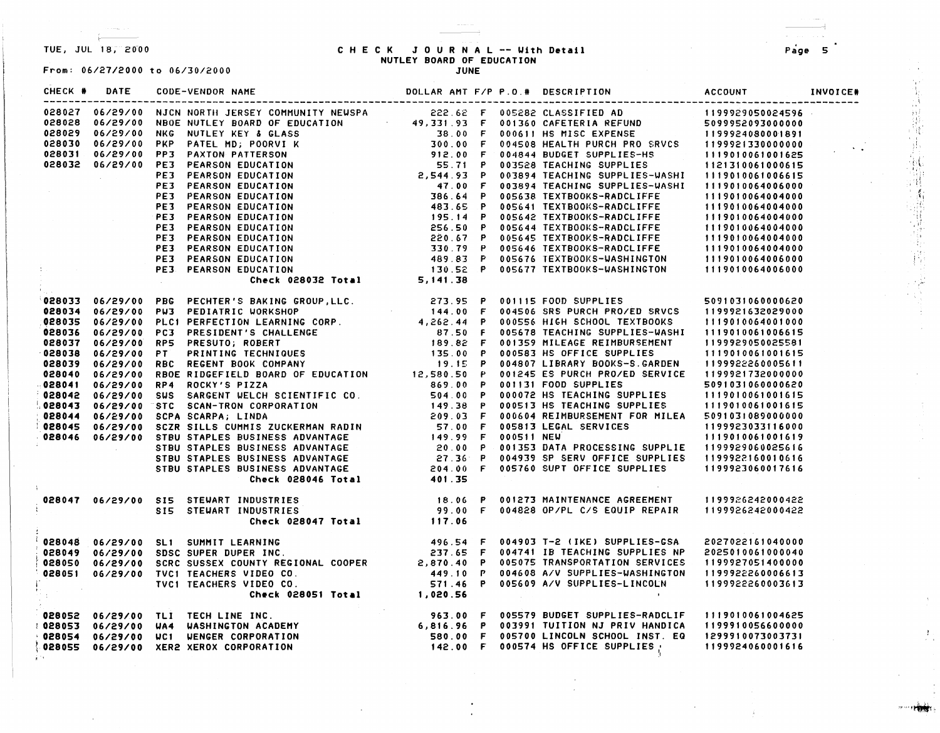$\mathcal{R}^{(1,0)}$  .

## TUE, JUL 18, 2000 **CHECK JOURNAL -- With Detail** NUTLEY **BOARD** OF EDUCATION

**JUNE** 

From: 06/27/2000 to 06/30/2000

#### CHECK# DATE CODE-VENDOR NAME CHECK # DATE CODE-VENDOR NAME DOLLAR AMT F/P P.O.# DESCRIPTION

#### ACCOUNT -------

|  |                                        |  |                                                                                                                                                                                                                                                                                                                                                                                                                                                                                  | 1199929050024596 |
|--|----------------------------------------|--|----------------------------------------------------------------------------------------------------------------------------------------------------------------------------------------------------------------------------------------------------------------------------------------------------------------------------------------------------------------------------------------------------------------------------------------------------------------------------------|------------------|
|  |                                        |  |                                                                                                                                                                                                                                                                                                                                                                                                                                                                                  |                  |
|  |                                        |  |                                                                                                                                                                                                                                                                                                                                                                                                                                                                                  |                  |
|  |                                        |  |                                                                                                                                                                                                                                                                                                                                                                                                                                                                                  |                  |
|  |                                        |  |                                                                                                                                                                                                                                                                                                                                                                                                                                                                                  |                  |
|  |                                        |  |                                                                                                                                                                                                                                                                                                                                                                                                                                                                                  |                  |
|  |                                        |  |                                                                                                                                                                                                                                                                                                                                                                                                                                                                                  |                  |
|  |                                        |  |                                                                                                                                                                                                                                                                                                                                                                                                                                                                                  |                  |
|  |                                        |  |                                                                                                                                                                                                                                                                                                                                                                                                                                                                                  |                  |
|  |                                        |  |                                                                                                                                                                                                                                                                                                                                                                                                                                                                                  |                  |
|  |                                        |  |                                                                                                                                                                                                                                                                                                                                                                                                                                                                                  |                  |
|  |                                        |  |                                                                                                                                                                                                                                                                                                                                                                                                                                                                                  |                  |
|  |                                        |  |                                                                                                                                                                                                                                                                                                                                                                                                                                                                                  |                  |
|  |                                        |  |                                                                                                                                                                                                                                                                                                                                                                                                                                                                                  |                  |
|  |                                        |  |                                                                                                                                                                                                                                                                                                                                                                                                                                                                                  |                  |
|  |                                        |  |                                                                                                                                                                                                                                                                                                                                                                                                                                                                                  |                  |
|  |                                        |  |                                                                                                                                                                                                                                                                                                                                                                                                                                                                                  |                  |
|  |                                        |  | 028027 06/29/00 NJCN NORTH JERSEY COMMUNITY NEWSPA 222.62 F 0.05282 CLASSIFTED AD 119922-050024596<br>028028 06/29/00 NNG NUTLEY KEY & GLASS 49.33 .0 F 00150 AMETHOR REFUND 509992850024596<br>028029 06/29/00 NNG NUTLEY KEY & GLA                                                                                                                                                                                                                                             |                  |
|  |                                        |  | 328033 06/29/00 PBG PECHITR'S BAKING CROUP, LLC.<br>323.95 P 001115 FOOD SUPPLIES 5091031060000620<br>328033 06/29/00 PLC1 PERFECTION LEARNING CORP. 1944.00 P 004556 HIGH SCHOLI TEXTBOOKS 11190100640001000<br>328033 06/29/00 PC3                                                                                                                                                                                                                                             |                  |
|  |                                        |  |                                                                                                                                                                                                                                                                                                                                                                                                                                                                                  |                  |
|  |                                        |  |                                                                                                                                                                                                                                                                                                                                                                                                                                                                                  |                  |
|  |                                        |  |                                                                                                                                                                                                                                                                                                                                                                                                                                                                                  |                  |
|  |                                        |  |                                                                                                                                                                                                                                                                                                                                                                                                                                                                                  |                  |
|  |                                        |  |                                                                                                                                                                                                                                                                                                                                                                                                                                                                                  |                  |
|  |                                        |  |                                                                                                                                                                                                                                                                                                                                                                                                                                                                                  |                  |
|  |                                        |  |                                                                                                                                                                                                                                                                                                                                                                                                                                                                                  |                  |
|  |                                        |  |                                                                                                                                                                                                                                                                                                                                                                                                                                                                                  |                  |
|  |                                        |  |                                                                                                                                                                                                                                                                                                                                                                                                                                                                                  |                  |
|  |                                        |  |                                                                                                                                                                                                                                                                                                                                                                                                                                                                                  |                  |
|  |                                        |  |                                                                                                                                                                                                                                                                                                                                                                                                                                                                                  |                  |
|  |                                        |  |                                                                                                                                                                                                                                                                                                                                                                                                                                                                                  |                  |
|  |                                        |  |                                                                                                                                                                                                                                                                                                                                                                                                                                                                                  |                  |
|  |                                        |  |                                                                                                                                                                                                                                                                                                                                                                                                                                                                                  |                  |
|  |                                        |  |                                                                                                                                                                                                                                                                                                                                                                                                                                                                                  |                  |
|  |                                        |  |                                                                                                                                                                                                                                                                                                                                                                                                                                                                                  |                  |
|  |                                        |  |                                                                                                                                                                                                                                                                                                                                                                                                                                                                                  |                  |
|  |                                        |  |                                                                                                                                                                                                                                                                                                                                                                                                                                                                                  |                  |
|  |                                        |  |                                                                                                                                                                                                                                                                                                                                                                                                                                                                                  |                  |
|  | 028047 06/29/00 SIS STEWART INDUSTRIES |  |                                                                                                                                                                                                                                                                                                                                                                                                                                                                                  |                  |
|  |                                        |  |                                                                                                                                                                                                                                                                                                                                                                                                                                                                                  |                  |
|  |                                        |  | 18.06 P 001273 MAINTENANCE AGREEMENT 1199926242000422<br>199.00 F 004828 OP/PL C/S EQUIP REPAIR 1199926242000422<br>Check 028047 Total 117.06                                                                                                                                                                                                                                                                                                                                    |                  |
|  |                                        |  |                                                                                                                                                                                                                                                                                                                                                                                                                                                                                  |                  |
|  |                                        |  |                                                                                                                                                                                                                                                                                                                                                                                                                                                                                  |                  |
|  |                                        |  |                                                                                                                                                                                                                                                                                                                                                                                                                                                                                  |                  |
|  |                                        |  |                                                                                                                                                                                                                                                                                                                                                                                                                                                                                  |                  |
|  |                                        |  |                                                                                                                                                                                                                                                                                                                                                                                                                                                                                  |                  |
|  |                                        |  |                                                                                                                                                                                                                                                                                                                                                                                                                                                                                  |                  |
|  |                                        |  |                                                                                                                                                                                                                                                                                                                                                                                                                                                                                  |                  |
|  |                                        |  | 028048 06/29/00 SL1 SUMMIT LEARNING<br>028049 06/29/00 SDSC SUPER DUPER INC.<br>028050 06/29/00 SDSC SUPER DUPER INC.<br>028050 06/29/00 SCRC SUSSEX COUNTY REGIONAL COOPER<br>028051 06/29/00 TVC1 TEACHERS VIDEO CO.<br>19992226000661<br>028052 06/29/00 TLI TECH LINE INC.<br>028053 06/29/00 WA4 WASHINGTON ACADEMY 6,816.96 P 003991 TUITION NJ PRIV HANDICA 1199910056600000<br>028054 06/29/00 WCI WENGER CORPORATION 580.00 F 003791 TUITION SCHOOL INST. EQ 1299910073 |                  |
|  |                                        |  |                                                                                                                                                                                                                                                                                                                                                                                                                                                                                  |                  |
|  |                                        |  |                                                                                                                                                                                                                                                                                                                                                                                                                                                                                  |                  |
|  |                                        |  |                                                                                                                                                                                                                                                                                                                                                                                                                                                                                  |                  |
|  |                                        |  |                                                                                                                                                                                                                                                                                                                                                                                                                                                                                  |                  |
|  |                                        |  |                                                                                                                                                                                                                                                                                                                                                                                                                                                                                  |                  |

Page 5

INVOICE#

"是我的事情的事实的?"

*,..,,,,,·tW1~*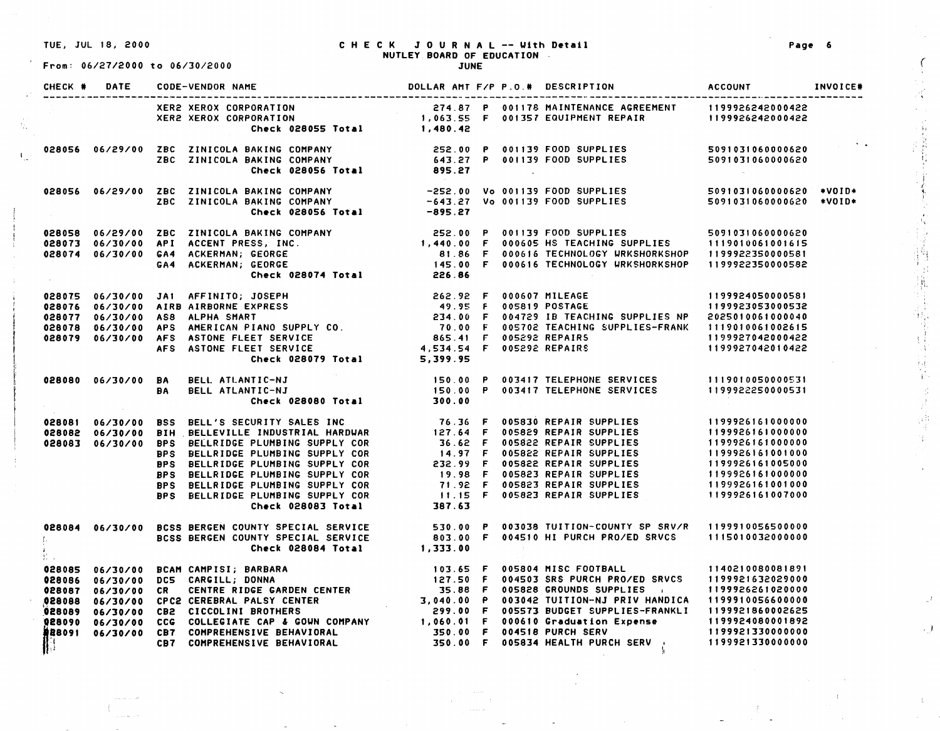$\mathcal{A}^{\pm}$ 

 $\mathcal{F}_{\mathcal{A}}$ 

From: 06/27/2000 to 06/30/2000

#### TUE, JUL 18, 2000 CHECK JOURNAL -- Uith **Detail**  NUTLEY **BOARD** OF EDUCATION JUNE

|  | CHECK # DATE CODE-VENDOR NAME                                                                                                                                                                                                            |  |  |                                         |
|--|------------------------------------------------------------------------------------------------------------------------------------------------------------------------------------------------------------------------------------------|--|--|-----------------------------------------|
|  | XER2 XEROX CORPORATION 274.87 P 001178 MAINTENANCE AGREEMENT 1199926242000422<br>XER2 XEROX CORPORATION 1,063.55 F 001357 EQUIPMENT REPAIR 1199926242000422<br>Check 028055 Total 1,480.42                                               |  |  |                                         |
|  |                                                                                                                                                                                                                                          |  |  | $\mathcal{L}^{\text{max}}_{\text{max}}$ |
|  | 028056 06/29/00 ZBC ZINICOLA BAKING COMPANY −252.00 Vo 001139 FOOD SUPPLIES<br>Thicola Baking Company −643.27 Vo 001139 FOOD SUPPLIES 5091031060000620 *VOID*<br>Check 028056 Total −895.27                                              |  |  |                                         |
|  | 028058 06/29/00 ZBC ZINICOLA BAKING COMPANY (252.00 P 001139 FOOD SUPPLIES 509103106000620<br>028073 06/30/00 API ACCENT PRESS, INC.                               1,440.00 F 000605 HS TEACHING SUPPLIES 1119010061001615<br>028074     |  |  |                                         |
|  | 028075 06/30/00 JA1 AFFINITO; JOSEPH 262.92 F 000607 MILEAGE 1199924050000581<br>028076 06/30/00 AIRB AIRBORNE EXPRESS 49.95 F 005819 POSTAGE 1199923053000532<br>028077 06/30/00 AS8 ALPHA SMART 234.00 F 004729 IB TEACHING SUPP       |  |  |                                         |
|  | 028080 06/30/00 BA BELL ATLANTIC-NJ (150.00 P 003417 TELEPHONE SERVICES (1119010050000531<br>BA BELL ATLANTIC-NJ (150.00 P 003417 TELEPHONE SERVICES (1199922250000531<br>Check 028080 Total (300.00                                     |  |  |                                         |
|  | 020081 06/30/00 BSS BELL'S SECURITY SALES INC<br>020082 06/30/00 BIH BELLEVILLE INDUSTRIAL HARDWAR 127.64 F 005829 REPAIR SUPPLIES<br>020083 06/30/00 BPS BELLRIDGE PLUMBING SUPPLY COR 14.97 F 005829 REPAIR SUPPLIES<br>BPS BELLRI     |  |  |                                         |
|  | 028084 06/30/00 BCSS BERGEN COUNTY SPECIAL SERVICE<br>BCSS BERGEN COUNTY SPECIAL SERVICE BO3.00 P 003038 TUITION-COUNTY SP SRV/R 1199910056500000<br>Check 028084 Total 1,333.00                                                         |  |  |                                         |
|  | 028085 06/30/00 BCAM CAMPISI; BARBARA<br>028085 06/30/00 DCS CARGILL; DONNA<br>028086 06/30/00 DCS CARGILL; DONNA<br>028087 06/30/00 CR CENTRE RIDGE GARDEN CENTER<br>028087 06/30/00 CR CENTRE RIDGE GARDEN CENTER<br>028089 06/30/00 C |  |  |                                         |

**Page 6** 

*(* 

κć

1;

i f \.  $\ddot{\cdot}$ 

 $\widetilde{W}_4$ 

化斯兰基 计主信号

 $\frac{1}{2}$ 

 $\cdot$  )

 $\Lambda$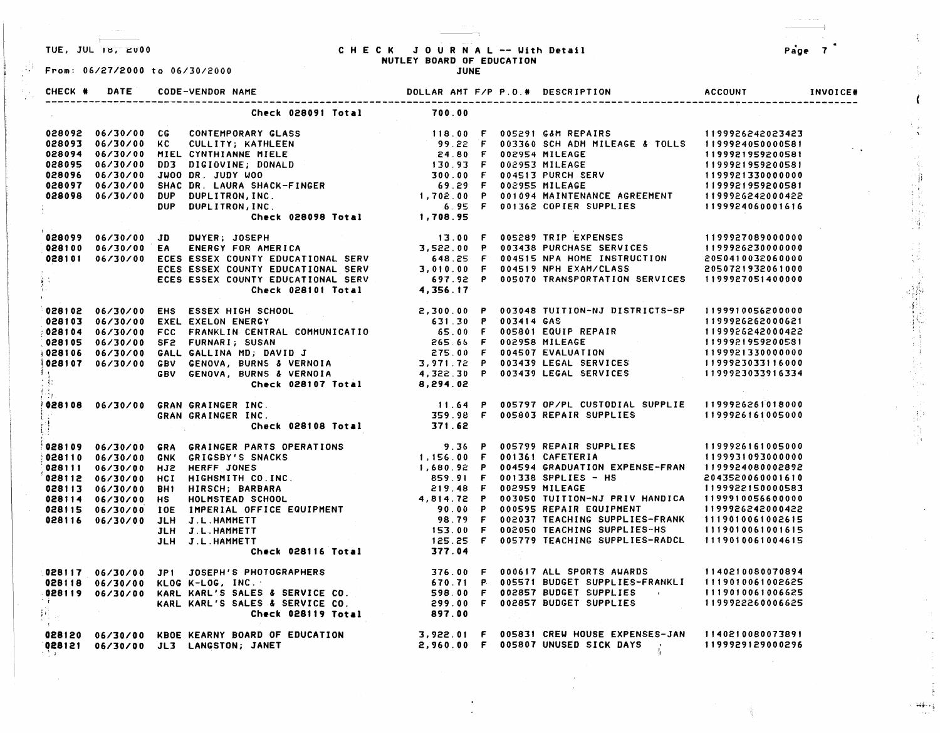$t$  -  $-$  -  $-$ 

#### TUE, JUL 18, 2000 CHECK JOURNAL -- With Detail NUTLEY BOARD OF EDUCATION

Page 7

 $\sim 10^7$ 

-,

*it* 

 $\mathbf{f}_i$ 

 $\frac{1}{3}$  .

 $\mathcal{L}_{\mathcal{L}}$ 

 $\frac{1}{2}$ 

аź,

 $\sim$   $\sim$ 

!

i '

......

| From: 06/27/2000 to 06/30/2000 | NOTEET BOARD OF EDUCATION                                                                                                                                                                                                                |        |  |  |  |
|--------------------------------|------------------------------------------------------------------------------------------------------------------------------------------------------------------------------------------------------------------------------------------|--------|--|--|--|
|                                |                                                                                                                                                                                                                                          |        |  |  |  |
|                                | Check 028091 Total                                                                                                                                                                                                                       | 700.00 |  |  |  |
|                                |                                                                                                                                                                                                                                          |        |  |  |  |
|                                |                                                                                                                                                                                                                                          |        |  |  |  |
|                                |                                                                                                                                                                                                                                          |        |  |  |  |
|                                |                                                                                                                                                                                                                                          |        |  |  |  |
|                                |                                                                                                                                                                                                                                          |        |  |  |  |
|                                |                                                                                                                                                                                                                                          |        |  |  |  |
|                                |                                                                                                                                                                                                                                          |        |  |  |  |
|                                |                                                                                                                                                                                                                                          |        |  |  |  |
|                                | 028092 06/30/00 CG CONTEMPORARY GLASS (08093 06/30/00 KC CULLITY; KATHLEEN (08093 06/30/00 KC CULLITY; KATHLEEN (08093 06/30/00 KC CULLITY; KATHLEEN (08093 06/30/00 MICLITY; KATHLEEN (08093 06/30/00 MICLITY; KATHLEEN (0809           |        |  |  |  |
|                                |                                                                                                                                                                                                                                          |        |  |  |  |
|                                |                                                                                                                                                                                                                                          |        |  |  |  |
|                                |                                                                                                                                                                                                                                          |        |  |  |  |
|                                |                                                                                                                                                                                                                                          |        |  |  |  |
|                                |                                                                                                                                                                                                                                          |        |  |  |  |
|                                | 028099 06/30/00 JD DUYER; JOSEPH 13.00 F 005289 TRIP EXPENSES 1199927089000000<br> 028100 06/30/00 EA ENERGY FOR AMERICA 3,522.00 P 003438 PURCHASE SERVICES 1199926230000000<br> 028101 06/30/00 ECES ESSEX COUNTY EDUCATIONAL SERV     |        |  |  |  |
|                                |                                                                                                                                                                                                                                          |        |  |  |  |
|                                |                                                                                                                                                                                                                                          |        |  |  |  |
|                                |                                                                                                                                                                                                                                          |        |  |  |  |
|                                |                                                                                                                                                                                                                                          |        |  |  |  |
|                                |                                                                                                                                                                                                                                          |        |  |  |  |
|                                |                                                                                                                                                                                                                                          |        |  |  |  |
|                                |                                                                                                                                                                                                                                          |        |  |  |  |
|                                | 028102 06/30/00 EXEL EXELON ENERGY<br>028103 06/30/00 EXEL EXELON ENERGY<br>028103 06/30/00 EXEL EXELON ENERGY<br>028104 06/30/00 FCC FRANKLIN CENTRAL COMMUNICATIO<br>028105 06/30/00 SF2 FURNARI; SUSAN 265.66 F 002958 MILEAGE<br>028 |        |  |  |  |
|                                | 06/30/00 GRAN GRAINGER INC.<br>  11.64 P 005797 OP/PL CUSTODIAL SUPPLIE   1199926261018000 11.64 P 005797 OP/PL CUSTODIAL SUPPLIE  <br> -   GRAN GRAINGER INC.   Check 028108 Total   371.62                                             |        |  |  |  |
|                                |                                                                                                                                                                                                                                          |        |  |  |  |
|                                |                                                                                                                                                                                                                                          |        |  |  |  |
|                                |                                                                                                                                                                                                                                          |        |  |  |  |
|                                |                                                                                                                                                                                                                                          |        |  |  |  |
|                                |                                                                                                                                                                                                                                          |        |  |  |  |
|                                |                                                                                                                                                                                                                                          |        |  |  |  |
|                                |                                                                                                                                                                                                                                          |        |  |  |  |
|                                |                                                                                                                                                                                                                                          |        |  |  |  |
|                                |                                                                                                                                                                                                                                          |        |  |  |  |
|                                |                                                                                                                                                                                                                                          |        |  |  |  |
|                                |                                                                                                                                                                                                                                          |        |  |  |  |
|                                |                                                                                                                                                                                                                                          |        |  |  |  |
|                                | 028110 06/30/00 GRA GRAINGER PARTS OPERATIONS<br>028110 06/30/00 GNK GRIGSBY'S SNACKS<br>028111 06/30/00 HIM HIRSCH; BARBARK 11,156.00 F 001361 CAFETERIA 1199931093000000<br>028114 06/30/00 HCI HIRSCH; BARBARA 859.91 F 0013138 S     |        |  |  |  |
|                                |                                                                                                                                                                                                                                          |        |  |  |  |
|                                |                                                                                                                                                                                                                                          |        |  |  |  |
|                                |                                                                                                                                                                                                                                          |        |  |  |  |
|                                |                                                                                                                                                                                                                                          |        |  |  |  |
|                                |                                                                                                                                                                                                                                          |        |  |  |  |
|                                | 0<br>198120 06/30/00 KBOE KEARNY BOARD OF EDUCATION 3,922.01 F 005831 CREW HOUSE EXPENSES-JAN 1140210080073891<br>198121 06/30/00 JL3 LANGSTON; JANET 2,960.00 F 005807 UNUSED SICK DAYS                                                 |        |  |  |  |
|                                |                                                                                                                                                                                                                                          |        |  |  |  |
|                                |                                                                                                                                                                                                                                          |        |  |  |  |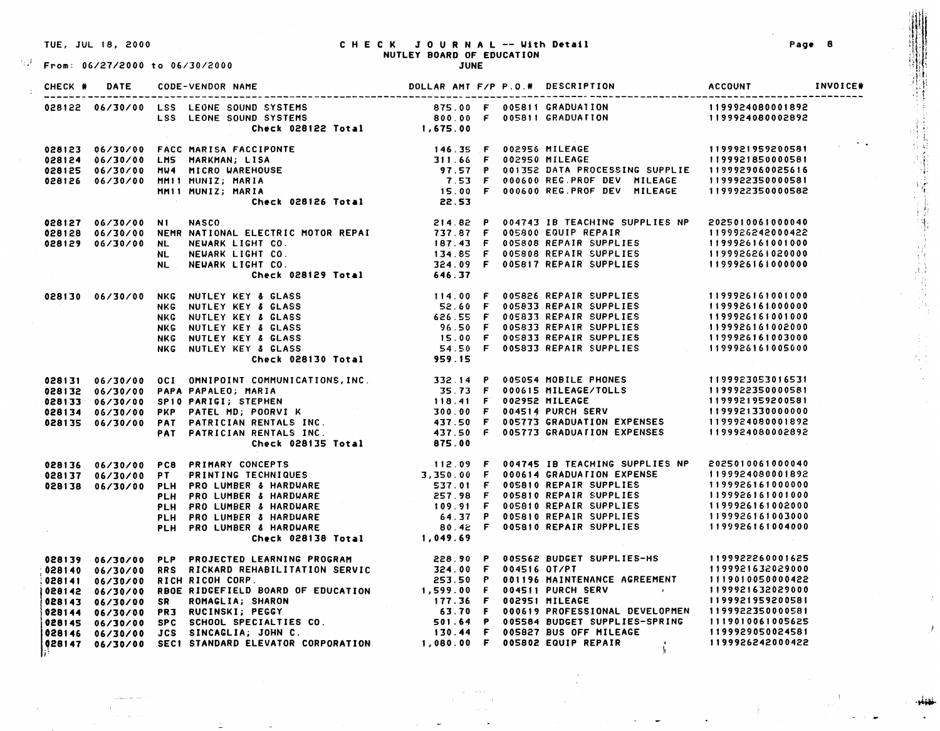$\mathbb{R}^{\mathbb{Z}^{\mathbb{Z}}}$  From: 06/27/2000 to 06/30/2000

# TUE, JUL 18, 2000 C H E C K JOURNAL -- Uith **D•tail <sup>8</sup>**'T Pag• :1 '; *(* NUTLEY **BOARD** OF EDUCATION

| CHECK # DATE |                                                                                                                                                                                                                                              |  |  |                                                                                                                                                                                                                                                                                                                                                                                 |
|--------------|----------------------------------------------------------------------------------------------------------------------------------------------------------------------------------------------------------------------------------------------|--|--|---------------------------------------------------------------------------------------------------------------------------------------------------------------------------------------------------------------------------------------------------------------------------------------------------------------------------------------------------------------------------------|
|              |                                                                                                                                                                                                                                              |  |  |                                                                                                                                                                                                                                                                                                                                                                                 |
|              |                                                                                                                                                                                                                                              |  |  |                                                                                                                                                                                                                                                                                                                                                                                 |
|              | 028122 06/30/00 LSS LEONE SOUND SYSTEMS<br>LSS LEONE SOUND SYSTEMS<br>LSS LEONE SOUND SYSTEMS<br>LSS LEONE SOUND SYSTEMS<br>Check 028122 Total<br>199921959200581<br>28124 06/30/00 FACC MARISA FACCE 1199921959200581<br>28124 06/30/00 FAC |  |  |                                                                                                                                                                                                                                                                                                                                                                                 |
|              |                                                                                                                                                                                                                                              |  |  |                                                                                                                                                                                                                                                                                                                                                                                 |
|              |                                                                                                                                                                                                                                              |  |  |                                                                                                                                                                                                                                                                                                                                                                                 |
|              |                                                                                                                                                                                                                                              |  |  |                                                                                                                                                                                                                                                                                                                                                                                 |
|              |                                                                                                                                                                                                                                              |  |  |                                                                                                                                                                                                                                                                                                                                                                                 |
|              |                                                                                                                                                                                                                                              |  |  |                                                                                                                                                                                                                                                                                                                                                                                 |
|              |                                                                                                                                                                                                                                              |  |  | $\begin{aligned} \mathcal{F}_{\mathcal{A}}(t) &= \frac{1}{2} \sum_{i=1}^{n} \frac{1}{2} \sum_{j=1}^{n} \frac{1}{2} \sum_{j=1}^{n} \frac{1}{2} \sum_{j=1}^{n} \frac{1}{2} \sum_{j=1}^{n} \frac{1}{2} \sum_{j=1}^{n} \frac{1}{2} \sum_{j=1}^{n} \frac{1}{2} \sum_{j=1}^{n} \frac{1}{2} \sum_{j=1}^{n} \frac{1}{2} \sum_{j=1}^{n} \frac{1}{2} \sum_{j=1}^{n} \frac{1}{2} \sum_{j=$ |
|              |                                                                                                                                                                                                                                              |  |  |                                                                                                                                                                                                                                                                                                                                                                                 |
|              |                                                                                                                                                                                                                                              |  |  |                                                                                                                                                                                                                                                                                                                                                                                 |
|              |                                                                                                                                                                                                                                              |  |  |                                                                                                                                                                                                                                                                                                                                                                                 |
|              |                                                                                                                                                                                                                                              |  |  |                                                                                                                                                                                                                                                                                                                                                                                 |
|              |                                                                                                                                                                                                                                              |  |  |                                                                                                                                                                                                                                                                                                                                                                                 |
|              | 028127 06/30/00 N1 NASCO 214.82 P 004743 IB TEACHING SUPPLIES NP 2025010061000040<br>028128 06/30/00 NEMR NATIONAL ELECTRIC MOTOR REPAIN 737.87 F 005800 EQUIP REPAIR 1199926242000422<br>028129 06/30/00 NL NEWARK LIGHT CO. 134.85         |  |  |                                                                                                                                                                                                                                                                                                                                                                                 |
|              | 028130 06/30/00 NKG NUTLEY KEY & GLASS 52.60 F 005826 REPAIR SUPPLIES NKG NUTLEY KEY & GLASS 52.60 F 005826 REPAIR SUPPLIES NKG NUTLEY KEY & GLASS 52.60 F 005833 REPAIR SUPPLIES NKG NUTLEY KEY & GLASS 52.60 F 005833 REPAIR               |  |  |                                                                                                                                                                                                                                                                                                                                                                                 |
|              |                                                                                                                                                                                                                                              |  |  |                                                                                                                                                                                                                                                                                                                                                                                 |
|              |                                                                                                                                                                                                                                              |  |  |                                                                                                                                                                                                                                                                                                                                                                                 |
|              |                                                                                                                                                                                                                                              |  |  |                                                                                                                                                                                                                                                                                                                                                                                 |
|              |                                                                                                                                                                                                                                              |  |  |                                                                                                                                                                                                                                                                                                                                                                                 |
|              |                                                                                                                                                                                                                                              |  |  |                                                                                                                                                                                                                                                                                                                                                                                 |
|              |                                                                                                                                                                                                                                              |  |  |                                                                                                                                                                                                                                                                                                                                                                                 |
|              |                                                                                                                                                                                                                                              |  |  |                                                                                                                                                                                                                                                                                                                                                                                 |
|              |                                                                                                                                                                                                                                              |  |  |                                                                                                                                                                                                                                                                                                                                                                                 |
|              |                                                                                                                                                                                                                                              |  |  |                                                                                                                                                                                                                                                                                                                                                                                 |
|              |                                                                                                                                                                                                                                              |  |  |                                                                                                                                                                                                                                                                                                                                                                                 |
|              |                                                                                                                                                                                                                                              |  |  |                                                                                                                                                                                                                                                                                                                                                                                 |
|              |                                                                                                                                                                                                                                              |  |  |                                                                                                                                                                                                                                                                                                                                                                                 |
|              | 028131 06/30/00 OCI OMNIPOINT COMMUNICATIONS,INC. 332.14 P 005054 MOBILE PHONES 1199923053016531<br>028132 06/30/00 PAPA PAPALEO; MARIA 35.73 F 000615 MILEAGE/TOLLS 1199922350000581<br>028133 06/30/00 PKP PATEL MD; POORVI K 30           |  |  |                                                                                                                                                                                                                                                                                                                                                                                 |
|              | 028136 06/30/00 PC8 PRIMARY ICHNERS (1993) IONAL 013.00<br>028137 06/30/00 PC8 PRIMARY ICENTIQUES (1993) IONAL 2150.00 F 000614 GRADUATION EXPENSE (199324080001892<br>028138 06/30/00 PT PRINTING TECHNIQUES (27.98 F 000614 GRAD           |  |  |                                                                                                                                                                                                                                                                                                                                                                                 |
|              |                                                                                                                                                                                                                                              |  |  |                                                                                                                                                                                                                                                                                                                                                                                 |
|              |                                                                                                                                                                                                                                              |  |  |                                                                                                                                                                                                                                                                                                                                                                                 |
|              |                                                                                                                                                                                                                                              |  |  |                                                                                                                                                                                                                                                                                                                                                                                 |
|              |                                                                                                                                                                                                                                              |  |  |                                                                                                                                                                                                                                                                                                                                                                                 |
|              |                                                                                                                                                                                                                                              |  |  |                                                                                                                                                                                                                                                                                                                                                                                 |
|              |                                                                                                                                                                                                                                              |  |  |                                                                                                                                                                                                                                                                                                                                                                                 |
|              |                                                                                                                                                                                                                                              |  |  |                                                                                                                                                                                                                                                                                                                                                                                 |
|              |                                                                                                                                                                                                                                              |  |  |                                                                                                                                                                                                                                                                                                                                                                                 |
|              |                                                                                                                                                                                                                                              |  |  |                                                                                                                                                                                                                                                                                                                                                                                 |
|              |                                                                                                                                                                                                                                              |  |  |                                                                                                                                                                                                                                                                                                                                                                                 |
|              |                                                                                                                                                                                                                                              |  |  |                                                                                                                                                                                                                                                                                                                                                                                 |
|              |                                                                                                                                                                                                                                              |  |  |                                                                                                                                                                                                                                                                                                                                                                                 |
|              |                                                                                                                                                                                                                                              |  |  |                                                                                                                                                                                                                                                                                                                                                                                 |
|              |                                                                                                                                                                                                                                              |  |  |                                                                                                                                                                                                                                                                                                                                                                                 |
|              |                                                                                                                                                                                                                                              |  |  |                                                                                                                                                                                                                                                                                                                                                                                 |
|              |                                                                                                                                                                                                                                              |  |  |                                                                                                                                                                                                                                                                                                                                                                                 |

 $\begin{picture}(20,20) \put(0,0){\line(0,1){10}} \put(10,0){\line(0,1){10}} \put(10,0){\line(0,1){10}} \put(10,0){\line(0,1){10}} \put(10,0){\line(0,1){10}} \put(10,0){\line(0,1){10}} \put(10,0){\line(0,1){10}} \put(10,0){\line(0,1){10}} \put(10,0){\line(0,1){10}} \put(10,0){\line(0,1){10}} \put(10,0){\line(0,1){10}} \put(10,0){\line(0$ 

,1:f;

.<br>نق*و*لي.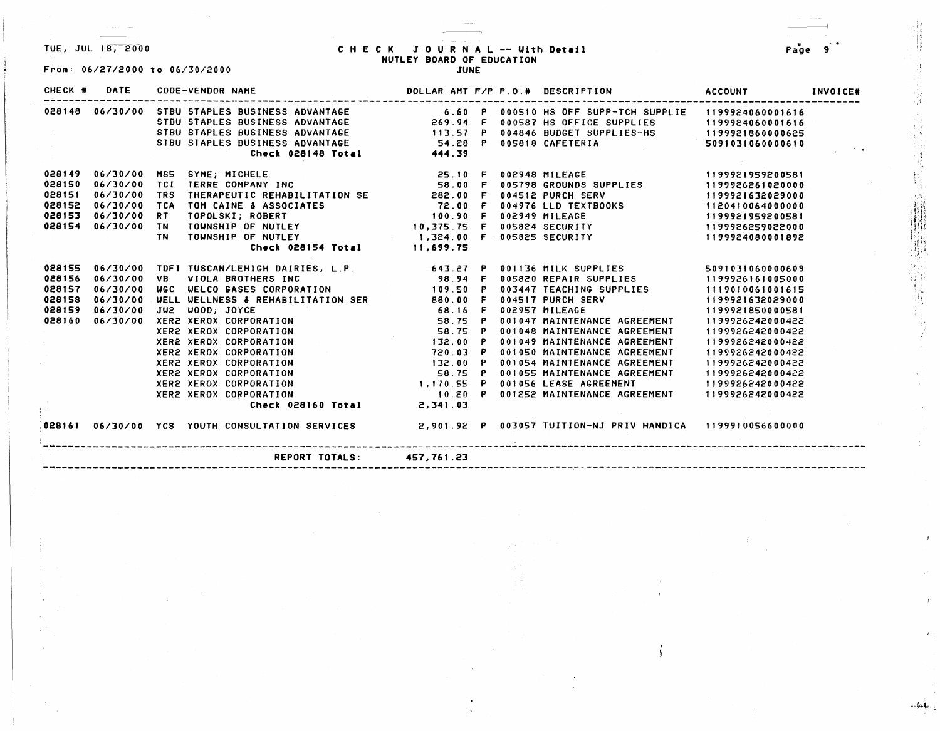1- -

## TUE, JUL 1a;-2-o-oo Page - <sup>3</sup> C H E C I< JOURNAL -- With **Detail 9**  NUTLEY **BOARD** OF EDUCATION From: 06/27/2000 to 06/30/2000 **JUNE**

| CHECK # | DATE               |            | <b>CODE-VENDOR NAME</b>                                                                                                                                                                                                                    |                                           |  | DOLLAR AMT F/P P.O.# DESCRIPTION                         | <b>ACCOUNT</b>   | INVOICE* |
|---------|--------------------|------------|--------------------------------------------------------------------------------------------------------------------------------------------------------------------------------------------------------------------------------------------|-------------------------------------------|--|----------------------------------------------------------|------------------|----------|
|         | 028148 06/30/00    |            | STBU STAPLES BUSINESS ADVANTAGE 6.60 P 000510 HS OFF SUPP-TCH SUPPLIE 1199924060001616                                                                                                                                                     |                                           |  |                                                          |                  |          |
|         |                    |            | STBU STAPLES BUSINESS ADVANTAGE<br>STBU STAPLES BUSINESS ADVANTAGE<br>STBU STAPLES BUSINESS ADVANTAGE<br>STBU STAPLES BUSINESS ADVANTAGE<br>STBU STAPLES BUSINESS ADVANTAGE<br>STBU STAPLES BUSINESS ADVANTAGE<br>STBU STAPLES BUSINESS AD |                                           |  |                                                          |                  |          |
|         |                    |            |                                                                                                                                                                                                                                            |                                           |  |                                                          |                  |          |
|         |                    |            |                                                                                                                                                                                                                                            |                                           |  |                                                          |                  |          |
|         |                    |            | Check 028148 Total 444.39                                                                                                                                                                                                                  |                                           |  |                                                          |                  |          |
|         |                    |            | 028149  06/30/00  MS5  SYME; MICHELE                                                                                                                                                                                                       |                                           |  |                                                          | 1199921959200581 |          |
| 028150  | 06/30/00           |            | TCI TERRE COMPANY INC                                                                                                                                                                                                                      |                                           |  |                                                          | 1199926261020000 |          |
| 028151  | 06/30/00           | <b>TRS</b> |                                                                                                                                                                                                                                            |                                           |  |                                                          | 1199921632029000 |          |
| 028152  | 06/30/00           | TCA        | TOM CAINE & ASSOCIATES                                                                                                                                                                                                                     |                                           |  | 004976 LLD TEXTBOOKS                                     | 1120410064000000 |          |
| 028153  | <b>06/30/00</b>    | RT.        | TOPOLSKI; ROBERT<br>TOPOLSKI; ROBERT<br>TOWNSHIP OF NUTLEY                                                                                                                                                                                 | 72.00 F<br>100.90 F<br>10,375.75 F        |  | 002949 MILEAGE                                           | 1199921959200581 |          |
| 028154  | <b>06/30/00 TN</b> |            |                                                                                                                                                                                                                                            |                                           |  | 005824 SECURITY                                          | 1199926259022000 |          |
|         |                    | TN.        | TOWNSHIP OF NUTLEY <b>1,324.00 F 005825 SECURITY</b>                                                                                                                                                                                       |                                           |  |                                                          | 1199924080001892 |          |
|         |                    |            | Check 028154 Total 11,699.75                                                                                                                                                                                                               |                                           |  |                                                          |                  |          |
| 028155  |                    |            | 06/30/00 TDFI TUSCAN/LEHIGH DAIRIES, L.P. 643.27 P                                                                                                                                                                                         |                                           |  | 001136 MILK SUPPLIES                                     | 5091031060000609 |          |
| 028156  | 06/30/00           | VB.        | VIOLA BROTHERS INC                                                                                                                                                                                                                         | 98.94 F                                   |  | 005820 REPAIR SUPPLIES                                   | 1199926161005000 |          |
| 028157  | 06/30/00           |            | UGC UELCO GASES CORPORATION 109.50 P                                                                                                                                                                                                       |                                           |  | 003447 TEACHING SUPPLIES                                 | 1119010061001615 |          |
| 028158  | 06/30/00           |            | <b>WELL WELLNESS &amp; REHABILITATION SER 680.00 F</b>                                                                                                                                                                                     |                                           |  | 004517 PURCH SERV                                        | 1199921632029000 |          |
| 028159  | 06/30/00           |            | JU2 WOOD; JOYCE                                                                                                                                                                                                                            | 68.16 F                                   |  | the control of the control of the con-<br>002957 MILEAGE | 1199921850000581 |          |
| 028160  | 06/30/00           |            | XER2 XEROX CORPORATION 58.75 P                                                                                                                                                                                                             |                                           |  | 001047 MAINTENANCE AGREEMENT                             | 1199926242000422 |          |
|         |                    |            | XER2 XEROX CORPORATION                                                                                                                                                                                                                     | $58.75$ P<br>132.00 P                     |  | 001048 MAINTENANCE AGREEMENT                             | 1199926242000422 |          |
|         |                    |            | XER2 XEROX CORPORATION                                                                                                                                                                                                                     | 132.00 P                                  |  | 001049 MAINTENANCE AGREEMENT                             | 1199926242000422 |          |
|         |                    |            | XER2 XEROX CORPORATION                                                                                                                                                                                                                     |                                           |  | 001050 MAINTENANCE AGREEMENT                             | 1199926242000422 |          |
|         |                    |            | XER2 XEROX CORPORATION                                                                                                                                                                                                                     |                                           |  | 001054 MAINTENANCE AGREEMENT                             | 1199926242000422 |          |
|         |                    |            | <b>XER2 XEROX CORPORATION</b>                                                                                                                                                                                                              |                                           |  | 001055 MAINTENANCE AGREEMENT                             | 1199926242000422 |          |
|         |                    |            | XER2 XEROX CORPORATION                                                                                                                                                                                                                     | 720.03<br>132.00 P<br>58.75 P<br>1,170.55 |  | 001056 LEASE AGREEMENT                                   | 1199926242000422 |          |
|         |                    |            | <b>XER2 XEROX CORPORATION</b>                                                                                                                                                                                                              | $10.20$ P                                 |  | 001252 MAINTENANCE AGREEMENT                             | 1199926242000422 |          |
|         |                    |            | Check 028160 Total                                                                                                                                                                                                                         | 2,341.03                                  |  |                                                          |                  |          |
|         |                    |            | .<br>028161  06/30/00  YCS  YOUTH CONSULTATION SERVICES             2,901.92  P  003057 TUITION-NJ PRIV HANDICA   1199910056600000                                                                                                         |                                           |  |                                                          |                  |          |
|         |                    |            | REPORT TOTALS: 457,761.23                                                                                                                                                                                                                  |                                           |  |                                                          |                  |          |

 $...$   $44.4$